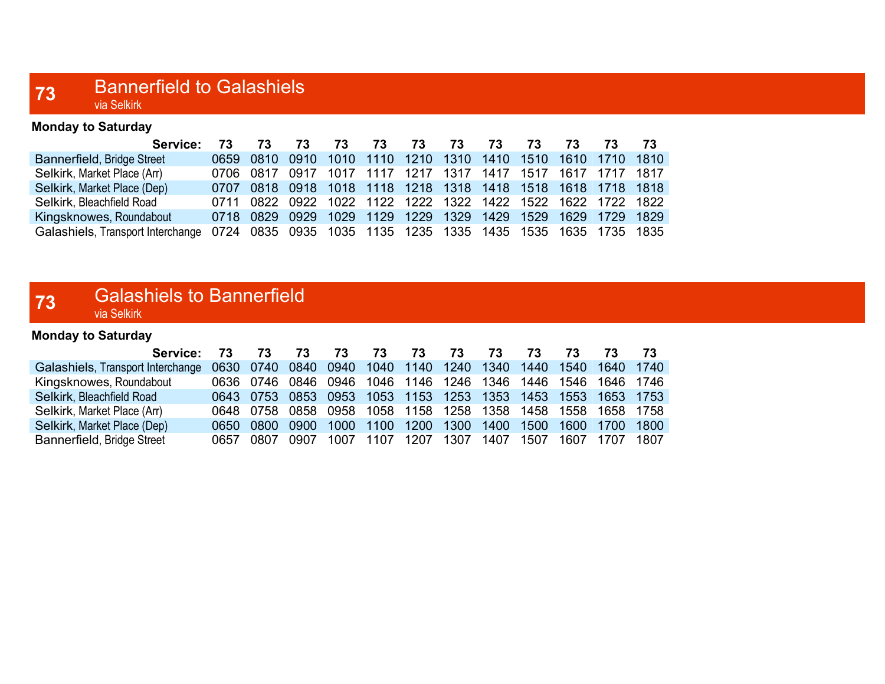#### 73 Bannerfield to Galashiels via Selkirk

| <b>Monday to Saturday</b>         |      |                                                             |    |      |      |                          |      |    |    |    |                          |     |
|-----------------------------------|------|-------------------------------------------------------------|----|------|------|--------------------------|------|----|----|----|--------------------------|-----|
| Service:                          |      | 73                                                          | 73 | 73.  | 73   | 73                       | 73   | 73 | 73 | 73 | 73                       | -73 |
| Bannerfield, Bridge Street        |      | 0659 0810 0910                                              |    |      |      | 1010 1110 1210 1310 1410 |      |    |    |    | 1510 1610 1710 1810      |     |
| Selkirk, Market Place (Arr)       | 0706 | 0817 0917                                                   |    | 1017 | 1117 | 1217                     | 1317 |    |    |    | 1417 1517 1617 1717 1817 |     |
| Selkirk, Market Place (Dep)       |      | 0707 0818 0918 1018 1118 1218 1318 1418 1518 1618 1718 1818 |    |      |      |                          |      |    |    |    |                          |     |
| Selkirk, Bleachfield Road         |      | 0711 0822 0922 1022 1122 1222 1322 1422 1522 1622 1722 1822 |    |      |      |                          |      |    |    |    |                          |     |
| Kingsknowes, Roundabout           |      | 0718 0829 0929 1029 1129 1229 1329 1429 1529 1629 1729 1829 |    |      |      |                          |      |    |    |    |                          |     |
| Galashiels, Transport Interchange |      | 0724 0835 0935 1035 1135 1235 1335 1435 1535 1635 1735 1835 |    |      |      |                          |      |    |    |    |                          |     |

#### **73** Galashiels to Bannerfield via Selkirk

Monday to Saturday

| Service: 73                       |      | 73   | 73    | 73.                                                         | 73.            | 73   | - 73      | 73 | 73   | 73             |                |         |
|-----------------------------------|------|------|-------|-------------------------------------------------------------|----------------|------|-----------|----|------|----------------|----------------|---------|
| Galashiels, Transport Interchange |      |      |       | 0630 0740 0840 0940 1040 1140 1240 1340 1440                |                |      |           |    |      |                | 1540 1640 1740 |         |
| Kingsknowes, Roundabout           |      |      |       | 0636 0746 0846 0946 1046 1146 1246 1346 1446                |                |      |           |    |      | 1546 1646 1746 |                |         |
| Selkirk, Bleachfield Road         |      |      |       | 0643 0753 0853 0953 1053 1153 1253 1353 1453 1553 1653 1753 |                |      |           |    |      |                |                |         |
| Selkirk, Market Place (Arr)       |      |      |       | 0648 0758 0858 0958 1058 1158 1258 1358 1458                |                |      |           |    |      | 1558 1658 1758 |                |         |
| Selkirk, Market Place (Dep)       | 0650 | 0800 | .0900 |                                                             | 1000 1100      | 1200 | 1300 1400 |    | 1500 |                | 1600 1700      | $-1800$ |
| Bannerfield, Bridge Street        | 0657 | 0807 | 0907  |                                                             | 1007 1107 1207 |      | 1307 1407 |    | 1507 | 1607           | 1707 1807      |         |